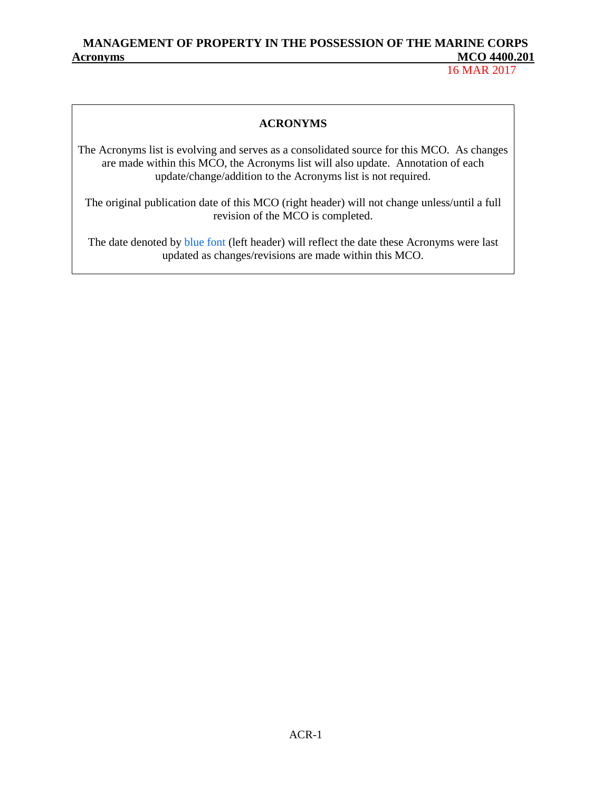16 MAR 2017

#### **ACRONYMS**

The Acronyms list is evolving and serves as a consolidated source for this MCO. As changes are made within this MCO, the Acronyms list will also update. Annotation of each update/change/addition to the Acronyms list is not required.

The original publication date of this MCO (right header) will not change unless/until a full revision of the MCO is completed.

The date denoted by blue font (left header) will reflect the date these Acronyms were last updated as changes/revisions are made within this MCO.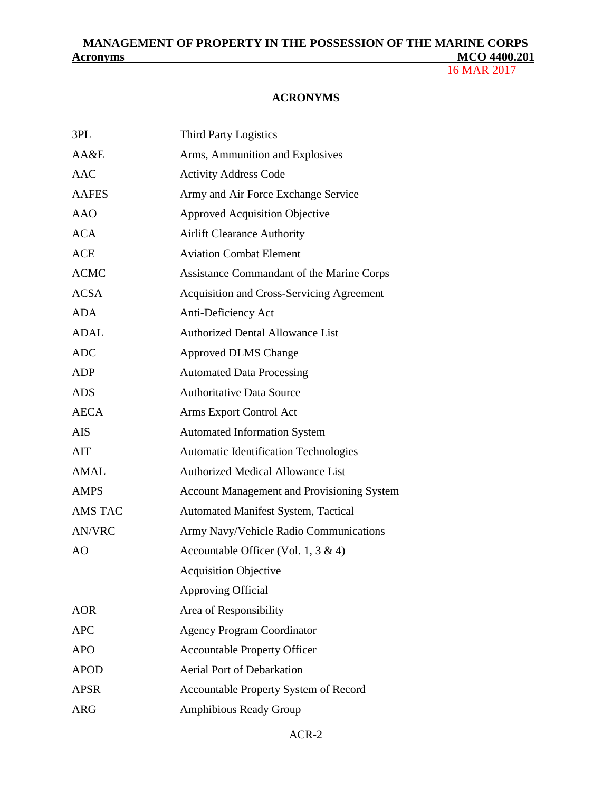16 MAR 2017

#### **ACRONYMS**

| 3PL            | <b>Third Party Logistics</b>                      |
|----------------|---------------------------------------------------|
| AA&E           | Arms, Ammunition and Explosives                   |
| <b>AAC</b>     | <b>Activity Address Code</b>                      |
| <b>AAFES</b>   | Army and Air Force Exchange Service               |
| <b>AAO</b>     | <b>Approved Acquisition Objective</b>             |
| <b>ACA</b>     | <b>Airlift Clearance Authority</b>                |
| <b>ACE</b>     | <b>Aviation Combat Element</b>                    |
| <b>ACMC</b>    | Assistance Commandant of the Marine Corps         |
| <b>ACSA</b>    | <b>Acquisition and Cross-Servicing Agreement</b>  |
| <b>ADA</b>     | Anti-Deficiency Act                               |
| <b>ADAL</b>    | <b>Authorized Dental Allowance List</b>           |
| <b>ADC</b>     | <b>Approved DLMS Change</b>                       |
| <b>ADP</b>     | <b>Automated Data Processing</b>                  |
| <b>ADS</b>     | <b>Authoritative Data Source</b>                  |
| <b>AECA</b>    | Arms Export Control Act                           |
| <b>AIS</b>     | <b>Automated Information System</b>               |
| AIT            | <b>Automatic Identification Technologies</b>      |
| <b>AMAL</b>    | <b>Authorized Medical Allowance List</b>          |
| <b>AMPS</b>    | <b>Account Management and Provisioning System</b> |
| <b>AMS TAC</b> | <b>Automated Manifest System, Tactical</b>        |
| <b>AN/VRC</b>  | Army Navy/Vehicle Radio Communications            |
| AO             | Accountable Officer (Vol. 1, 3 & 4)               |
|                | <b>Acquisition Objective</b>                      |
|                | <b>Approving Official</b>                         |
| <b>AOR</b>     | Area of Responsibility                            |
| <b>APC</b>     | <b>Agency Program Coordinator</b>                 |
| <b>APO</b>     | <b>Accountable Property Officer</b>               |
| <b>APOD</b>    | <b>Aerial Port of Debarkation</b>                 |
| <b>APSR</b>    | Accountable Property System of Record             |
| <b>ARG</b>     | <b>Amphibious Ready Group</b>                     |
|                |                                                   |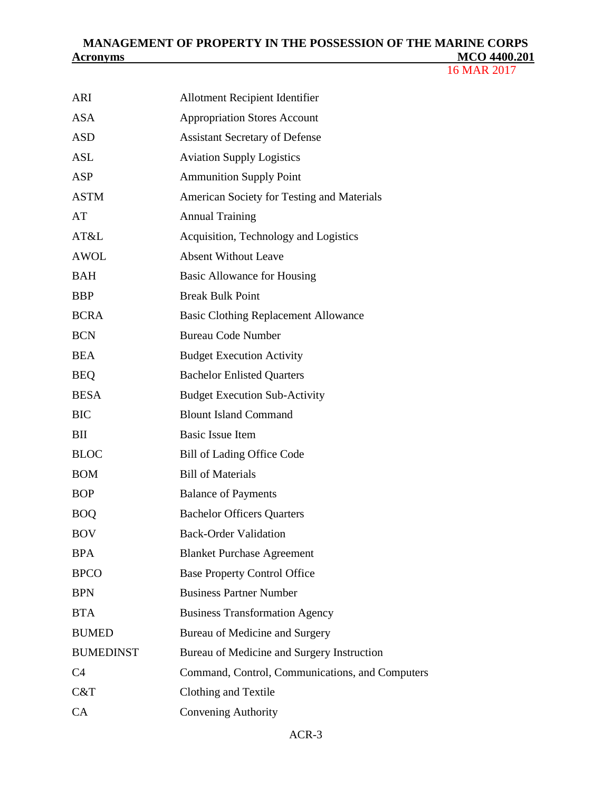| ARI              | <b>Allotment Recipient Identifier</b>           |
|------------------|-------------------------------------------------|
| <b>ASA</b>       | <b>Appropriation Stores Account</b>             |
| <b>ASD</b>       | <b>Assistant Secretary of Defense</b>           |
| ASL              | <b>Aviation Supply Logistics</b>                |
| <b>ASP</b>       | <b>Ammunition Supply Point</b>                  |
| <b>ASTM</b>      | American Society for Testing and Materials      |
| AT               | <b>Annual Training</b>                          |
| AT&L             | Acquisition, Technology and Logistics           |
| <b>AWOL</b>      | <b>Absent Without Leave</b>                     |
| <b>BAH</b>       | Basic Allowance for Housing                     |
| <b>BBP</b>       | <b>Break Bulk Point</b>                         |
| <b>BCRA</b>      | <b>Basic Clothing Replacement Allowance</b>     |
| <b>BCN</b>       | <b>Bureau Code Number</b>                       |
| <b>BEA</b>       | <b>Budget Execution Activity</b>                |
| <b>BEQ</b>       | <b>Bachelor Enlisted Quarters</b>               |
| <b>BESA</b>      | <b>Budget Execution Sub-Activity</b>            |
| <b>BIC</b>       | <b>Blount Island Command</b>                    |
| BII              | <b>Basic Issue Item</b>                         |
| <b>BLOC</b>      | Bill of Lading Office Code                      |
| <b>BOM</b>       | <b>Bill of Materials</b>                        |
| <b>BOP</b>       | <b>Balance of Payments</b>                      |
| <b>BOQ</b>       | <b>Bachelor Officers Quarters</b>               |
| <b>BOV</b>       | <b>Back-Order Validation</b>                    |
| <b>BPA</b>       | <b>Blanket Purchase Agreement</b>               |
| <b>BPCO</b>      | <b>Base Property Control Office</b>             |
| <b>BPN</b>       | <b>Business Partner Number</b>                  |
| <b>BTA</b>       | <b>Business Transformation Agency</b>           |
| <b>BUMED</b>     | Bureau of Medicine and Surgery                  |
| <b>BUMEDINST</b> | Bureau of Medicine and Surgery Instruction      |
| C <sub>4</sub>   | Command, Control, Communications, and Computers |
| C&T              | Clothing and Textile                            |
| CA               | Convening Authority                             |
|                  |                                                 |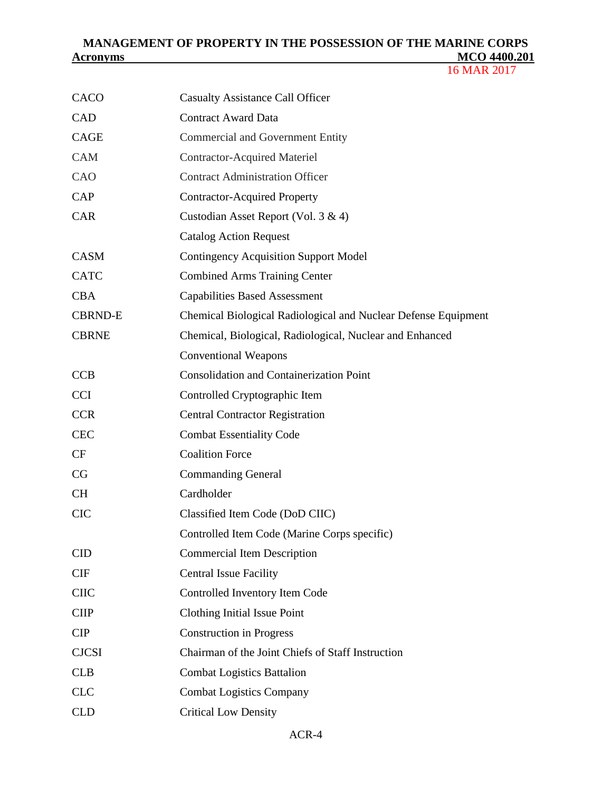| CACO           | <b>Casualty Assistance Call Officer</b>                        |
|----------------|----------------------------------------------------------------|
| CAD            | <b>Contract Award Data</b>                                     |
| <b>CAGE</b>    | <b>Commercial and Government Entity</b>                        |
| <b>CAM</b>     | <b>Contractor-Acquired Materiel</b>                            |
| CAO            | <b>Contract Administration Officer</b>                         |
| <b>CAP</b>     | <b>Contractor-Acquired Property</b>                            |
| <b>CAR</b>     | Custodian Asset Report (Vol. 3 & 4)                            |
|                | <b>Catalog Action Request</b>                                  |
| <b>CASM</b>    | <b>Contingency Acquisition Support Model</b>                   |
| <b>CATC</b>    | <b>Combined Arms Training Center</b>                           |
| <b>CBA</b>     | <b>Capabilities Based Assessment</b>                           |
| <b>CBRND-E</b> | Chemical Biological Radiological and Nuclear Defense Equipment |
| <b>CBRNE</b>   | Chemical, Biological, Radiological, Nuclear and Enhanced       |
|                | <b>Conventional Weapons</b>                                    |
| <b>CCB</b>     | <b>Consolidation and Containerization Point</b>                |
| <b>CCI</b>     | Controlled Cryptographic Item                                  |
| <b>CCR</b>     | <b>Central Contractor Registration</b>                         |
| <b>CEC</b>     | <b>Combat Essentiality Code</b>                                |
| CF             | <b>Coalition Force</b>                                         |
| CG             | <b>Commanding General</b>                                      |
| <b>CH</b>      | Cardholder                                                     |
| <b>CIC</b>     | Classified Item Code (DoD CIIC)                                |
|                | Controlled Item Code (Marine Corps specific)                   |
| <b>CID</b>     | <b>Commercial Item Description</b>                             |
| <b>CIF</b>     | <b>Central Issue Facility</b>                                  |
| <b>CIIC</b>    | Controlled Inventory Item Code                                 |
| <b>CIIP</b>    | Clothing Initial Issue Point                                   |
| <b>CIP</b>     | <b>Construction in Progress</b>                                |
| <b>CJCSI</b>   | Chairman of the Joint Chiefs of Staff Instruction              |
| CLB            | <b>Combat Logistics Battalion</b>                              |
| <b>CLC</b>     | <b>Combat Logistics Company</b>                                |
| <b>CLD</b>     | <b>Critical Low Density</b>                                    |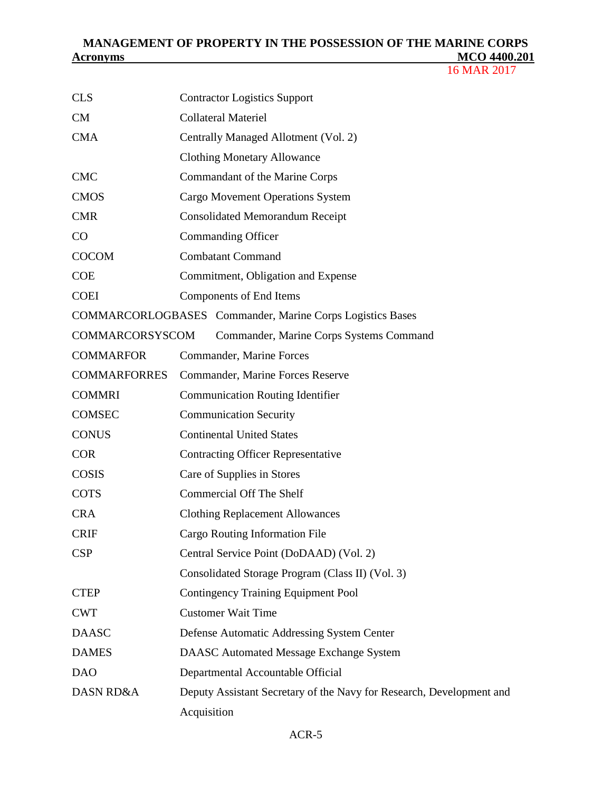| <b>CLS</b>           | <b>Contractor Logistics Support</b>                                  |
|----------------------|----------------------------------------------------------------------|
| CM                   | <b>Collateral Materiel</b>                                           |
| <b>CMA</b>           | Centrally Managed Allotment (Vol. 2)                                 |
|                      | <b>Clothing Monetary Allowance</b>                                   |
| <b>CMC</b>           | Commandant of the Marine Corps                                       |
| <b>CMOS</b>          | <b>Cargo Movement Operations System</b>                              |
| <b>CMR</b>           | <b>Consolidated Memorandum Receipt</b>                               |
| CO                   | <b>Commanding Officer</b>                                            |
| <b>COCOM</b>         | <b>Combatant Command</b>                                             |
| <b>COE</b>           | Commitment, Obligation and Expense                                   |
| <b>COEI</b>          | Components of End Items                                              |
|                      | <b>COMMARCORLOGBASES</b> Commander, Marine Corps Logistics Bases     |
| COMMARCORSYSCOM      | Commander, Marine Corps Systems Command                              |
| <b>COMMARFOR</b>     | Commander, Marine Forces                                             |
| <b>COMMARFORRES</b>  | Commander, Marine Forces Reserve                                     |
| <b>COMMRI</b>        | <b>Communication Routing Identifier</b>                              |
| <b>COMSEC</b>        | <b>Communication Security</b>                                        |
| <b>CONUS</b>         | <b>Continental United States</b>                                     |
| <b>COR</b>           | <b>Contracting Officer Representative</b>                            |
| <b>COSIS</b>         | Care of Supplies in Stores                                           |
| <b>COTS</b>          | <b>Commercial Off The Shelf</b>                                      |
| <b>CRA</b>           | <b>Clothing Replacement Allowances</b>                               |
| <b>CRIF</b>          | Cargo Routing Information File                                       |
| <b>CSP</b>           | Central Service Point (DoDAAD) (Vol. 2)                              |
|                      | Consolidated Storage Program (Class II) (Vol. 3)                     |
| <b>CTEP</b>          | <b>Contingency Training Equipment Pool</b>                           |
| <b>CWT</b>           | <b>Customer Wait Time</b>                                            |
| <b>DAASC</b>         | Defense Automatic Addressing System Center                           |
| <b>DAMES</b>         | <b>DAASC Automated Message Exchange System</b>                       |
| <b>DAO</b>           | Departmental Accountable Official                                    |
| <b>DASN RD&amp;A</b> | Deputy Assistant Secretary of the Navy for Research, Development and |
|                      | Acquisition                                                          |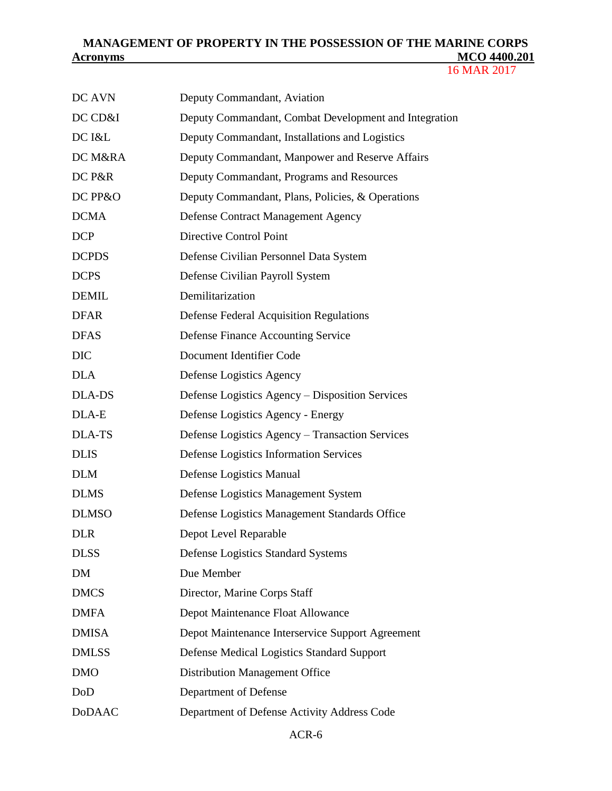| DC AVN        | Deputy Commandant, Aviation                           |
|---------------|-------------------------------------------------------|
| DC CD&I       | Deputy Commandant, Combat Development and Integration |
| DC I&L        | Deputy Commandant, Installations and Logistics        |
| DC M&RA       | Deputy Commandant, Manpower and Reserve Affairs       |
| DC P&R        | Deputy Commandant, Programs and Resources             |
| DC PP&O       | Deputy Commandant, Plans, Policies, & Operations      |
| <b>DCMA</b>   | Defense Contract Management Agency                    |
| <b>DCP</b>    | Directive Control Point                               |
| <b>DCPDS</b>  | Defense Civilian Personnel Data System                |
| <b>DCPS</b>   | Defense Civilian Payroll System                       |
| <b>DEMIL</b>  | Demilitarization                                      |
| <b>DFAR</b>   | <b>Defense Federal Acquisition Regulations</b>        |
| <b>DFAS</b>   | <b>Defense Finance Accounting Service</b>             |
| <b>DIC</b>    | Document Identifier Code                              |
| <b>DLA</b>    | Defense Logistics Agency                              |
| <b>DLA-DS</b> | Defense Logistics Agency - Disposition Services       |
| DLA-E         | Defense Logistics Agency - Energy                     |
| <b>DLA-TS</b> | Defense Logistics Agency - Transaction Services       |
| <b>DLIS</b>   | Defense Logistics Information Services                |
| <b>DLM</b>    | Defense Logistics Manual                              |
| <b>DLMS</b>   | Defense Logistics Management System                   |
| <b>DLMSO</b>  | Defense Logistics Management Standards Office         |
| <b>DLR</b>    | Depot Level Reparable                                 |
| <b>DLSS</b>   | Defense Logistics Standard Systems                    |
| DM            | Due Member                                            |
| <b>DMCS</b>   | Director, Marine Corps Staff                          |
| <b>DMFA</b>   | Depot Maintenance Float Allowance                     |
| <b>DMISA</b>  | Depot Maintenance Interservice Support Agreement      |
| <b>DMLSS</b>  | Defense Medical Logistics Standard Support            |
| <b>DMO</b>    | <b>Distribution Management Office</b>                 |
| DoD           | Department of Defense                                 |
| <b>DoDAAC</b> | Department of Defense Activity Address Code           |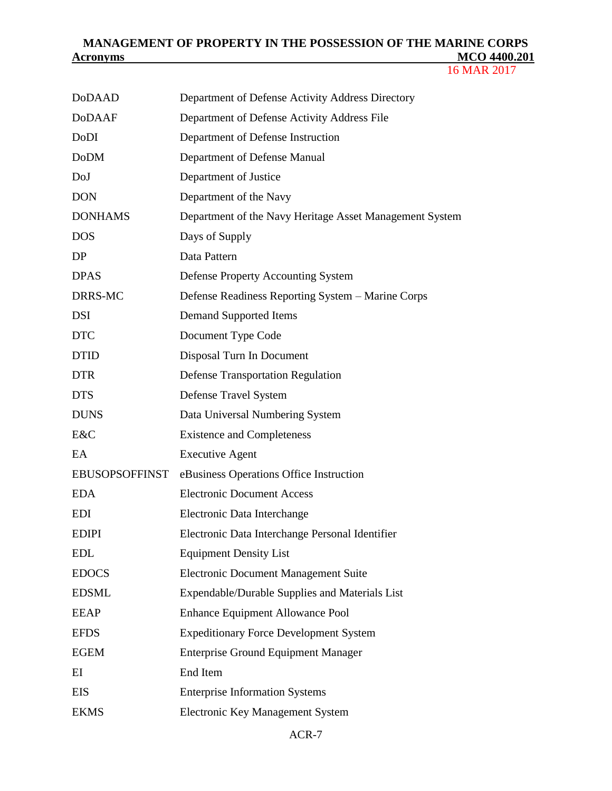| <b>DoDAAD</b>         | Department of Defense Activity Address Directory        |
|-----------------------|---------------------------------------------------------|
| <b>DoDAAF</b>         | Department of Defense Activity Address File             |
| DoDI                  | Department of Defense Instruction                       |
| <b>DoDM</b>           | Department of Defense Manual                            |
| DoJ                   | Department of Justice                                   |
| <b>DON</b>            | Department of the Navy                                  |
| <b>DONHAMS</b>        | Department of the Navy Heritage Asset Management System |
| <b>DOS</b>            | Days of Supply                                          |
| DP                    | Data Pattern                                            |
| <b>DPAS</b>           | Defense Property Accounting System                      |
| DRRS-MC               | Defense Readiness Reporting System - Marine Corps       |
| <b>DSI</b>            | <b>Demand Supported Items</b>                           |
| <b>DTC</b>            | Document Type Code                                      |
| <b>DTID</b>           | Disposal Turn In Document                               |
| <b>DTR</b>            | <b>Defense Transportation Regulation</b>                |
| <b>DTS</b>            | Defense Travel System                                   |
| <b>DUNS</b>           | Data Universal Numbering System                         |
| E&C                   | <b>Existence and Completeness</b>                       |
| EA                    | <b>Executive Agent</b>                                  |
| <b>EBUSOPSOFFINST</b> | eBusiness Operations Office Instruction                 |
| <b>EDA</b>            | <b>Electronic Document Access</b>                       |
| <b>EDI</b>            | Electronic Data Interchange                             |
| <b>EDIPI</b>          | Electronic Data Interchange Personal Identifier         |
| <b>EDL</b>            | <b>Equipment Density List</b>                           |
| <b>EDOCS</b>          | <b>Electronic Document Management Suite</b>             |
| <b>EDSML</b>          | Expendable/Durable Supplies and Materials List          |
| <b>EEAP</b>           | <b>Enhance Equipment Allowance Pool</b>                 |
| <b>EFDS</b>           | <b>Expeditionary Force Development System</b>           |
| <b>EGEM</b>           | <b>Enterprise Ground Equipment Manager</b>              |
| EI                    | End Item                                                |
| <b>EIS</b>            | <b>Enterprise Information Systems</b>                   |
| <b>EKMS</b>           | Electronic Key Management System                        |
|                       |                                                         |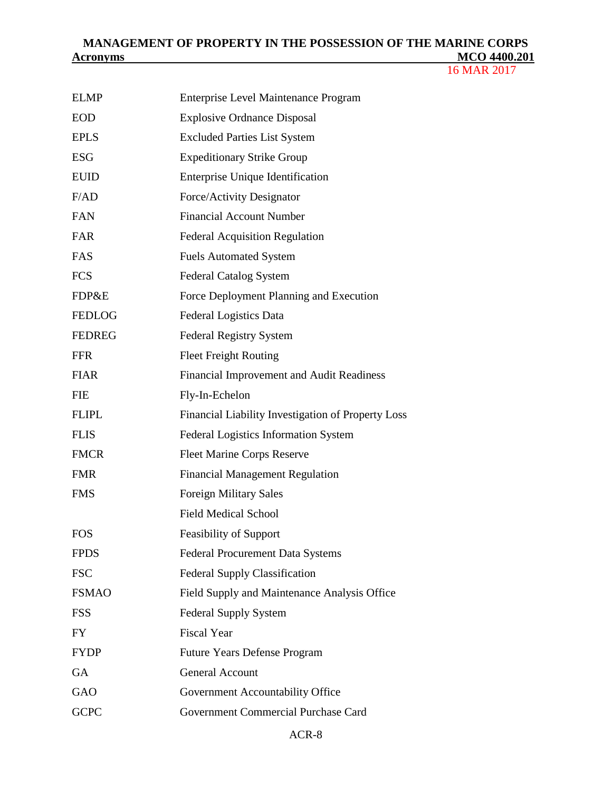| <b>ELMP</b>   | <b>Enterprise Level Maintenance Program</b>        |
|---------------|----------------------------------------------------|
| <b>EOD</b>    | <b>Explosive Ordnance Disposal</b>                 |
| <b>EPLS</b>   | <b>Excluded Parties List System</b>                |
| <b>ESG</b>    | <b>Expeditionary Strike Group</b>                  |
| <b>EUID</b>   | <b>Enterprise Unique Identification</b>            |
| F/AD          | Force/Activity Designator                          |
| <b>FAN</b>    | <b>Financial Account Number</b>                    |
| FAR           | <b>Federal Acquisition Regulation</b>              |
| FAS           | <b>Fuels Automated System</b>                      |
| <b>FCS</b>    | <b>Federal Catalog System</b>                      |
| FDP&E         | Force Deployment Planning and Execution            |
| <b>FEDLOG</b> | Federal Logistics Data                             |
| <b>FEDREG</b> | Federal Registry System                            |
| <b>FFR</b>    | <b>Fleet Freight Routing</b>                       |
| <b>FIAR</b>   | Financial Improvement and Audit Readiness          |
| <b>FIE</b>    | Fly-In-Echelon                                     |
| <b>FLIPL</b>  | Financial Liability Investigation of Property Loss |
| <b>FLIS</b>   | <b>Federal Logistics Information System</b>        |
| <b>FMCR</b>   | <b>Fleet Marine Corps Reserve</b>                  |
| <b>FMR</b>    | <b>Financial Management Regulation</b>             |
| <b>FMS</b>    | <b>Foreign Military Sales</b>                      |
|               | <b>Field Medical School</b>                        |
| <b>FOS</b>    | <b>Feasibility of Support</b>                      |
| <b>FPDS</b>   | <b>Federal Procurement Data Systems</b>            |
| <b>FSC</b>    | <b>Federal Supply Classification</b>               |
| <b>FSMAO</b>  | Field Supply and Maintenance Analysis Office       |
| <b>FSS</b>    | <b>Federal Supply System</b>                       |
| <b>FY</b>     | <b>Fiscal Year</b>                                 |
| <b>FYDP</b>   | <b>Future Years Defense Program</b>                |
| <b>GA</b>     | <b>General Account</b>                             |
| GAO           | Government Accountability Office                   |
| <b>GCPC</b>   | Government Commercial Purchase Card                |
|               |                                                    |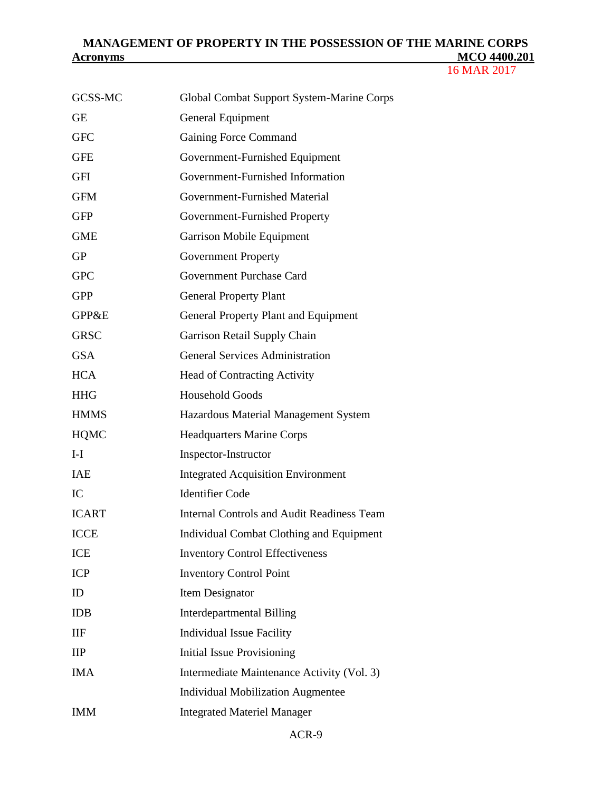| GCSS-MC                  | Global Combat Support System-Marine Corps         |
|--------------------------|---------------------------------------------------|
| <b>GE</b>                | <b>General Equipment</b>                          |
| <b>GFC</b>               | Gaining Force Command                             |
| <b>GFE</b>               | Government-Furnished Equipment                    |
| GFI                      | Government-Furnished Information                  |
| <b>GFM</b>               | Government-Furnished Material                     |
| <b>GFP</b>               | Government-Furnished Property                     |
| <b>GME</b>               | Garrison Mobile Equipment                         |
| <b>GP</b>                | <b>Government Property</b>                        |
| <b>GPC</b>               | Government Purchase Card                          |
| <b>GPP</b>               | <b>General Property Plant</b>                     |
| <b>GPP&amp;E</b>         | <b>General Property Plant and Equipment</b>       |
| <b>GRSC</b>              | Garrison Retail Supply Chain                      |
| <b>GSA</b>               | <b>General Services Administration</b>            |
| <b>HCA</b>               | <b>Head of Contracting Activity</b>               |
| <b>HHG</b>               | <b>Household Goods</b>                            |
| <b>HMMS</b>              | Hazardous Material Management System              |
| <b>HQMC</b>              | <b>Headquarters Marine Corps</b>                  |
| $I-I$                    | Inspector-Instructor                              |
| <b>IAE</b>               | <b>Integrated Acquisition Environment</b>         |
|                          |                                                   |
| IC                       | <b>Identifier Code</b>                            |
| <b>ICART</b>             | <b>Internal Controls and Audit Readiness Team</b> |
| <b>ICCE</b>              | Individual Combat Clothing and Equipment          |
| <b>ICE</b>               | <b>Inventory Control Effectiveness</b>            |
| <b>ICP</b>               | <b>Inventory Control Point</b>                    |
| ID                       | Item Designator                                   |
| <b>IDB</b>               | <b>Interdepartmental Billing</b>                  |
| IIF                      | <b>Individual Issue Facility</b>                  |
| $\mathbf{II} \mathbf{P}$ | <b>Initial Issue Provisioning</b>                 |
| <b>IMA</b>               | Intermediate Maintenance Activity (Vol. 3)        |
|                          | <b>Individual Mobilization Augmentee</b>          |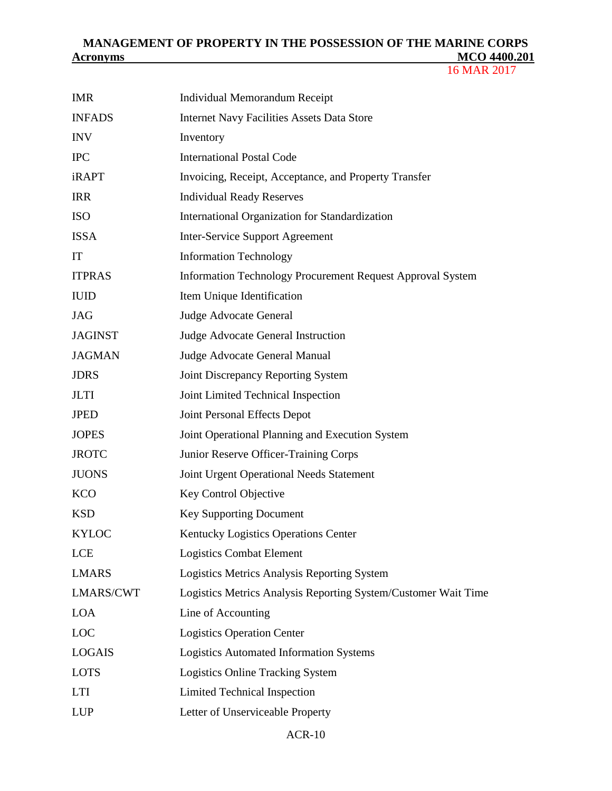| <b>IMR</b>     | Individual Memorandum Receipt                                  |
|----------------|----------------------------------------------------------------|
| <b>INFADS</b>  | <b>Internet Navy Facilities Assets Data Store</b>              |
| <b>INV</b>     | Inventory                                                      |
| <b>IPC</b>     | <b>International Postal Code</b>                               |
| <b>iRAPT</b>   | Invoicing, Receipt, Acceptance, and Property Transfer          |
| <b>IRR</b>     | <b>Individual Ready Reserves</b>                               |
| <b>ISO</b>     | International Organization for Standardization                 |
| <b>ISSA</b>    | <b>Inter-Service Support Agreement</b>                         |
| IT             | <b>Information Technology</b>                                  |
| <b>ITPRAS</b>  | Information Technology Procurement Request Approval System     |
| <b>IUID</b>    | Item Unique Identification                                     |
| <b>JAG</b>     | Judge Advocate General                                         |
| <b>JAGINST</b> | Judge Advocate General Instruction                             |
| <b>JAGMAN</b>  | Judge Advocate General Manual                                  |
| <b>JDRS</b>    | Joint Discrepancy Reporting System                             |
| <b>JLTI</b>    | Joint Limited Technical Inspection                             |
| <b>JPED</b>    | Joint Personal Effects Depot                                   |
| <b>JOPES</b>   | Joint Operational Planning and Execution System                |
| <b>JROTC</b>   | Junior Reserve Officer-Training Corps                          |
| <b>JUONS</b>   | Joint Urgent Operational Needs Statement                       |
| <b>KCO</b>     | Key Control Objective                                          |
| <b>KSD</b>     | <b>Key Supporting Document</b>                                 |
| <b>KYLOC</b>   | Kentucky Logistics Operations Center                           |
| <b>LCE</b>     | Logistics Combat Element                                       |
| <b>LMARS</b>   | Logistics Metrics Analysis Reporting System                    |
| LMARS/CWT      | Logistics Metrics Analysis Reporting System/Customer Wait Time |
| <b>LOA</b>     | Line of Accounting                                             |
| LOC            | <b>Logistics Operation Center</b>                              |
| <b>LOGAIS</b>  | <b>Logistics Automated Information Systems</b>                 |
| <b>LOTS</b>    | <b>Logistics Online Tracking System</b>                        |
| <b>LTI</b>     | <b>Limited Technical Inspection</b>                            |
| <b>LUP</b>     | Letter of Unserviceable Property                               |
|                |                                                                |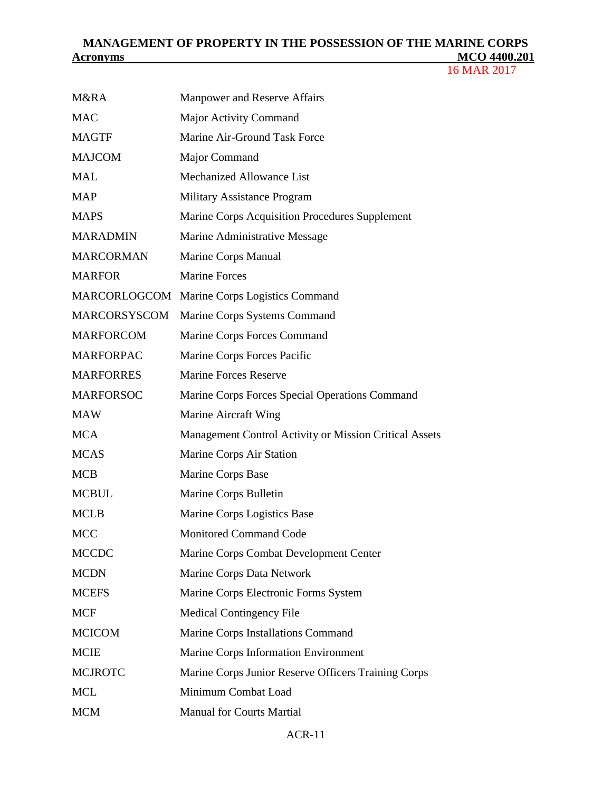| <b>M&amp;RA</b>     | Manpower and Reserve Affairs                           |
|---------------------|--------------------------------------------------------|
| <b>MAC</b>          | <b>Major Activity Command</b>                          |
| <b>MAGTF</b>        | Marine Air-Ground Task Force                           |
| <b>MAJCOM</b>       | Major Command                                          |
| <b>MAL</b>          | Mechanized Allowance List                              |
| <b>MAP</b>          | <b>Military Assistance Program</b>                     |
| <b>MAPS</b>         | Marine Corps Acquisition Procedures Supplement         |
| <b>MARADMIN</b>     | Marine Administrative Message                          |
| <b>MARCORMAN</b>    | Marine Corps Manual                                    |
| <b>MARFOR</b>       | <b>Marine Forces</b>                                   |
| MARCORLOGCOM        | Marine Corps Logistics Command                         |
| <b>MARCORSYSCOM</b> | Marine Corps Systems Command                           |
| <b>MARFORCOM</b>    | Marine Corps Forces Command                            |
| <b>MARFORPAC</b>    | Marine Corps Forces Pacific                            |
| <b>MARFORRES</b>    | <b>Marine Forces Reserve</b>                           |
| <b>MARFORSOC</b>    | Marine Corps Forces Special Operations Command         |
| <b>MAW</b>          | Marine Aircraft Wing                                   |
| <b>MCA</b>          | Management Control Activity or Mission Critical Assets |
| <b>MCAS</b>         | Marine Corps Air Station                               |
| <b>MCB</b>          | Marine Corps Base                                      |
| <b>MCBUL</b>        | Marine Corps Bulletin                                  |
| <b>MCLB</b>         | Marine Corps Logistics Base                            |
| <b>MCC</b>          | <b>Monitored Command Code</b>                          |
| <b>MCCDC</b>        | Marine Corps Combat Development Center                 |
| <b>MCDN</b>         | Marine Corps Data Network                              |
| <b>MCEFS</b>        | Marine Corps Electronic Forms System                   |
| <b>MCF</b>          | <b>Medical Contingency File</b>                        |
| <b>MCICOM</b>       | Marine Corps Installations Command                     |
| <b>MCIE</b>         | Marine Corps Information Environment                   |
| <b>MCJROTC</b>      | Marine Corps Junior Reserve Officers Training Corps    |
| <b>MCL</b>          | Minimum Combat Load                                    |
| <b>MCM</b>          | <b>Manual for Courts Martial</b>                       |
|                     |                                                        |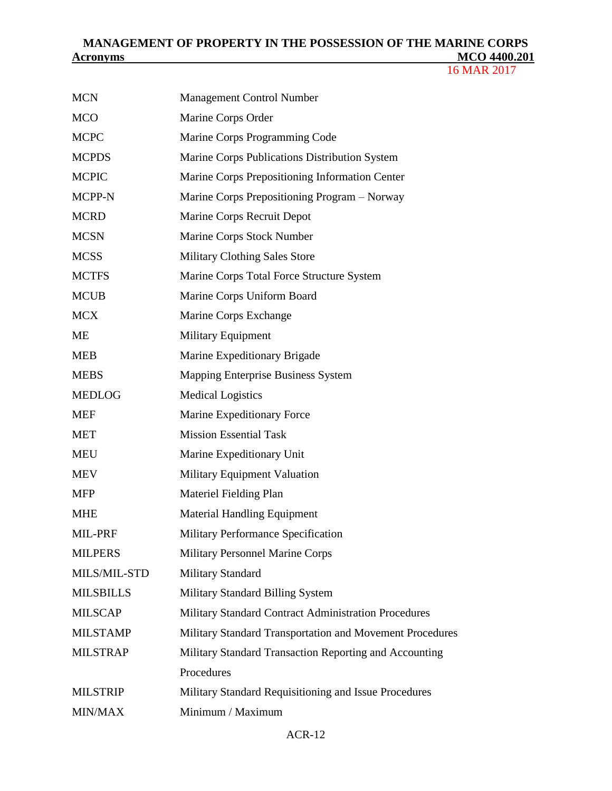| <b>MCN</b>       | <b>Management Control Number</b>                         |
|------------------|----------------------------------------------------------|
| <b>MCO</b>       | Marine Corps Order                                       |
| <b>MCPC</b>      | Marine Corps Programming Code                            |
| <b>MCPDS</b>     | Marine Corps Publications Distribution System            |
| <b>MCPIC</b>     | Marine Corps Prepositioning Information Center           |
| MCPP-N           | Marine Corps Prepositioning Program - Norway             |
| <b>MCRD</b>      | Marine Corps Recruit Depot                               |
| <b>MCSN</b>      | Marine Corps Stock Number                                |
| <b>MCSS</b>      | <b>Military Clothing Sales Store</b>                     |
| <b>MCTFS</b>     | Marine Corps Total Force Structure System                |
| <b>MCUB</b>      | Marine Corps Uniform Board                               |
| <b>MCX</b>       | Marine Corps Exchange                                    |
| <b>ME</b>        | <b>Military Equipment</b>                                |
| <b>MEB</b>       | Marine Expeditionary Brigade                             |
| <b>MEBS</b>      | Mapping Enterprise Business System                       |
| <b>MEDLOG</b>    | <b>Medical Logistics</b>                                 |
| <b>MEF</b>       | Marine Expeditionary Force                               |
| <b>MET</b>       | <b>Mission Essential Task</b>                            |
| <b>MEU</b>       | Marine Expeditionary Unit                                |
| <b>MEV</b>       | Military Equipment Valuation                             |
| <b>MFP</b>       | Materiel Fielding Plan                                   |
| <b>MHE</b>       | <b>Material Handling Equipment</b>                       |
| MIL-PRF          | Military Performance Specification                       |
| <b>MILPERS</b>   | <b>Military Personnel Marine Corps</b>                   |
| MILS/MIL-STD     | Military Standard                                        |
| <b>MILSBILLS</b> | Military Standard Billing System                         |
| <b>MILSCAP</b>   | Military Standard Contract Administration Procedures     |
| <b>MILSTAMP</b>  | Military Standard Transportation and Movement Procedures |
| <b>MILSTRAP</b>  | Military Standard Transaction Reporting and Accounting   |
|                  | Procedures                                               |
| <b>MILSTRIP</b>  | Military Standard Requisitioning and Issue Procedures    |
| MIN/MAX          | Minimum / Maximum                                        |
|                  |                                                          |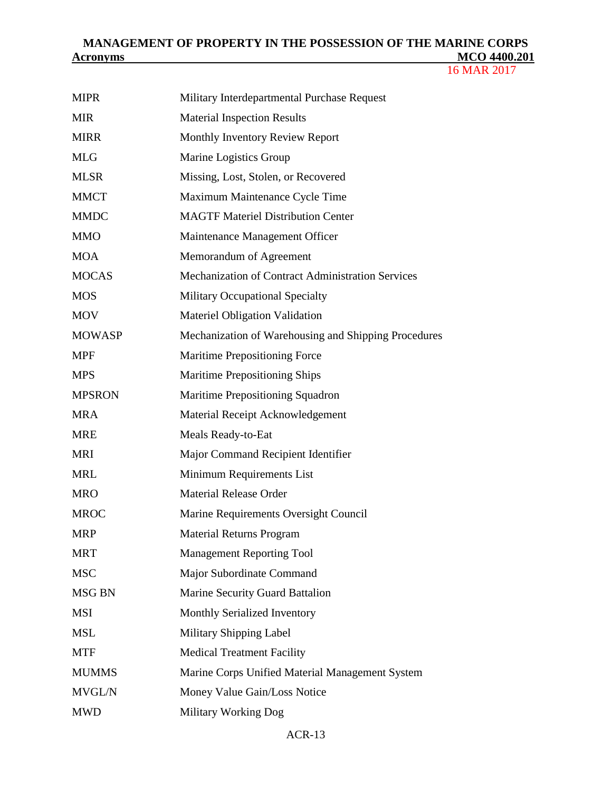| <b>MIPR</b>   | Military Interdepartmental Purchase Request          |
|---------------|------------------------------------------------------|
| <b>MIR</b>    | <b>Material Inspection Results</b>                   |
| <b>MIRR</b>   | Monthly Inventory Review Report                      |
| <b>MLG</b>    | Marine Logistics Group                               |
| <b>MLSR</b>   | Missing, Lost, Stolen, or Recovered                  |
| <b>MMCT</b>   | Maximum Maintenance Cycle Time                       |
| <b>MMDC</b>   | <b>MAGTF Materiel Distribution Center</b>            |
| <b>MMO</b>    | Maintenance Management Officer                       |
| <b>MOA</b>    | Memorandum of Agreement                              |
| <b>MOCAS</b>  | Mechanization of Contract Administration Services    |
| <b>MOS</b>    | Military Occupational Specialty                      |
| <b>MOV</b>    | Materiel Obligation Validation                       |
| <b>MOWASP</b> | Mechanization of Warehousing and Shipping Procedures |
| <b>MPF</b>    | <b>Maritime Prepositioning Force</b>                 |
| <b>MPS</b>    | Maritime Prepositioning Ships                        |
| <b>MPSRON</b> | Maritime Prepositioning Squadron                     |
| <b>MRA</b>    | Material Receipt Acknowledgement                     |
| <b>MRE</b>    | Meals Ready-to-Eat                                   |
| <b>MRI</b>    | Major Command Recipient Identifier                   |
| <b>MRL</b>    | Minimum Requirements List                            |
| <b>MRO</b>    | <b>Material Release Order</b>                        |
| <b>MROC</b>   | Marine Requirements Oversight Council                |
| <b>MRP</b>    | <b>Material Returns Program</b>                      |
| <b>MRT</b>    | <b>Management Reporting Tool</b>                     |
| <b>MSC</b>    | Major Subordinate Command                            |
| <b>MSG BN</b> | Marine Security Guard Battalion                      |
| <b>MSI</b>    | Monthly Serialized Inventory                         |
| <b>MSL</b>    | Military Shipping Label                              |
| <b>MTF</b>    | <b>Medical Treatment Facility</b>                    |
| <b>MUMMS</b>  | Marine Corps Unified Material Management System      |
| <b>MVGL/N</b> | Money Value Gain/Loss Notice                         |
| <b>MWD</b>    | Military Working Dog                                 |
|               |                                                      |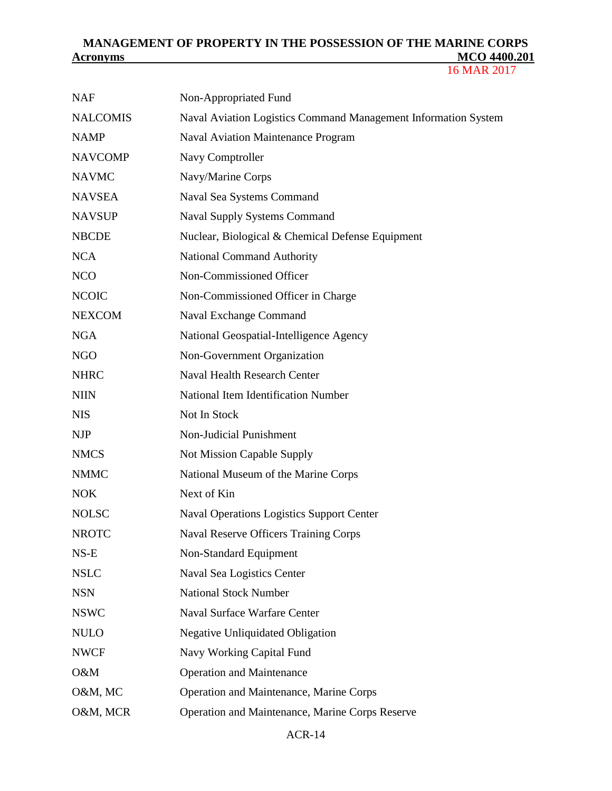16 MAR 2017

| <b>NAF</b>      | Non-Appropriated Fund                                          |
|-----------------|----------------------------------------------------------------|
| <b>NALCOMIS</b> | Naval Aviation Logistics Command Management Information System |
| <b>NAMP</b>     | <b>Naval Aviation Maintenance Program</b>                      |
| <b>NAVCOMP</b>  | Navy Comptroller                                               |
| <b>NAVMC</b>    | Navy/Marine Corps                                              |
| <b>NAVSEA</b>   | Naval Sea Systems Command                                      |
| <b>NAVSUP</b>   | <b>Naval Supply Systems Command</b>                            |
| <b>NBCDE</b>    | Nuclear, Biological & Chemical Defense Equipment               |
| <b>NCA</b>      | <b>National Command Authority</b>                              |
| <b>NCO</b>      | Non-Commissioned Officer                                       |
| <b>NCOIC</b>    | Non-Commissioned Officer in Charge                             |
| <b>NEXCOM</b>   | Naval Exchange Command                                         |
| <b>NGA</b>      | National Geospatial-Intelligence Agency                        |
| <b>NGO</b>      | Non-Government Organization                                    |
| <b>NHRC</b>     | <b>Naval Health Research Center</b>                            |
| <b>NIIN</b>     | National Item Identification Number                            |
| <b>NIS</b>      | Not In Stock                                                   |
| <b>NJP</b>      | Non-Judicial Punishment                                        |
| <b>NMCS</b>     | Not Mission Capable Supply                                     |
| <b>NMMC</b>     | National Museum of the Marine Corps                            |
| <b>NOK</b>      | Next of Kin                                                    |
| <b>NOLSC</b>    | <b>Naval Operations Logistics Support Center</b>               |
| <b>NROTC</b>    | <b>Naval Reserve Officers Training Corps</b>                   |
| $NS-E$          | Non-Standard Equipment                                         |
| <b>NSLC</b>     | Naval Sea Logistics Center                                     |
| <b>NSN</b>      | <b>National Stock Number</b>                                   |
| <b>NSWC</b>     | <b>Naval Surface Warfare Center</b>                            |
| <b>NULO</b>     | <b>Negative Unliquidated Obligation</b>                        |
| <b>NWCF</b>     | Navy Working Capital Fund                                      |
| O&M             | <b>Operation and Maintenance</b>                               |
| O&M, MC         | Operation and Maintenance, Marine Corps                        |
| O&M, MCR        | Operation and Maintenance, Marine Corps Reserve                |
|                 |                                                                |

#### ACR-14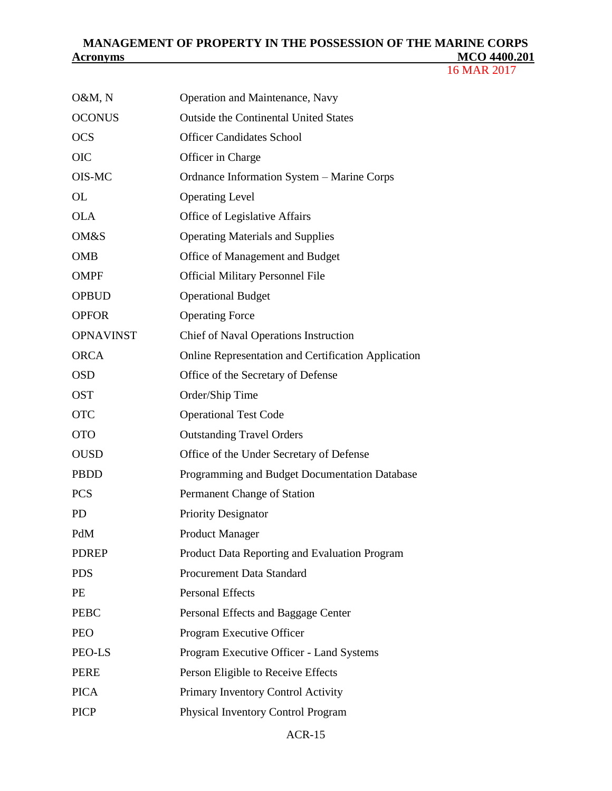| O&M, N           | Operation and Maintenance, Navy                     |
|------------------|-----------------------------------------------------|
| <b>OCONUS</b>    | <b>Outside the Continental United States</b>        |
| <b>OCS</b>       | <b>Officer Candidates School</b>                    |
| <b>OIC</b>       | Officer in Charge                                   |
| OIS-MC           | Ordnance Information System - Marine Corps          |
| OL               | <b>Operating Level</b>                              |
| <b>OLA</b>       | Office of Legislative Affairs                       |
| <b>OM&amp;S</b>  | <b>Operating Materials and Supplies</b>             |
| <b>OMB</b>       | Office of Management and Budget                     |
| <b>OMPF</b>      | <b>Official Military Personnel File</b>             |
| <b>OPBUD</b>     | <b>Operational Budget</b>                           |
| <b>OPFOR</b>     | <b>Operating Force</b>                              |
| <b>OPNAVINST</b> | <b>Chief of Naval Operations Instruction</b>        |
| <b>ORCA</b>      | Online Representation and Certification Application |
| <b>OSD</b>       | Office of the Secretary of Defense                  |
| <b>OST</b>       | Order/Ship Time                                     |
| <b>OTC</b>       | <b>Operational Test Code</b>                        |
| <b>OTO</b>       | <b>Outstanding Travel Orders</b>                    |
| <b>OUSD</b>      | Office of the Under Secretary of Defense            |
| <b>PBDD</b>      | Programming and Budget Documentation Database       |
| <b>PCS</b>       | Permanent Change of Station                         |
| <b>PD</b>        | <b>Priority Designator</b>                          |
| PdM              | <b>Product Manager</b>                              |
| <b>PDREP</b>     | Product Data Reporting and Evaluation Program       |
| <b>PDS</b>       | Procurement Data Standard                           |
| PE               | <b>Personal Effects</b>                             |
| <b>PEBC</b>      | Personal Effects and Baggage Center                 |
| <b>PEO</b>       | Program Executive Officer                           |
| PEO-LS           | Program Executive Officer - Land Systems            |
| <b>PERE</b>      | Person Eligible to Receive Effects                  |
| <b>PICA</b>      | Primary Inventory Control Activity                  |
| <b>PICP</b>      | Physical Inventory Control Program                  |
|                  |                                                     |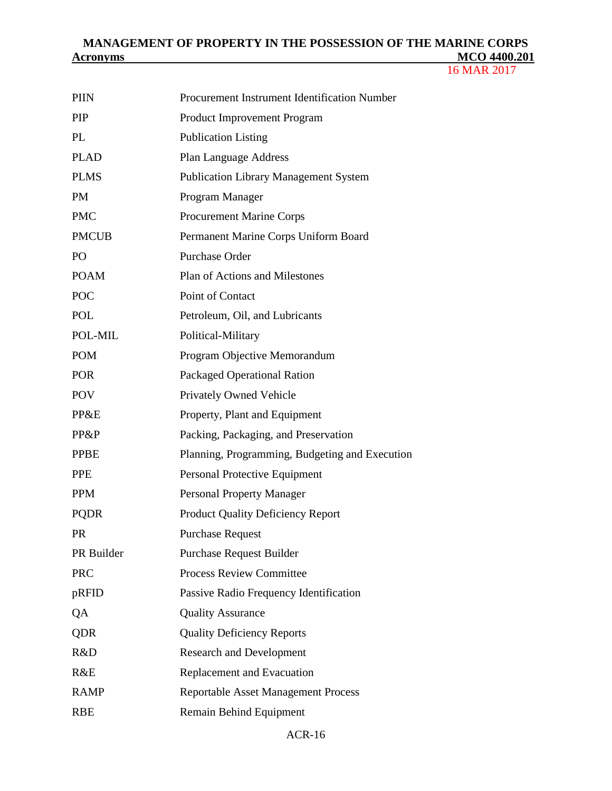| <b>PIIN</b>  | Procurement Instrument Identification Number   |
|--------------|------------------------------------------------|
| <b>PIP</b>   | Product Improvement Program                    |
| PL           | <b>Publication Listing</b>                     |
| <b>PLAD</b>  | <b>Plan Language Address</b>                   |
| <b>PLMS</b>  | <b>Publication Library Management System</b>   |
| <b>PM</b>    | Program Manager                                |
| <b>PMC</b>   | <b>Procurement Marine Corps</b>                |
| <b>PMCUB</b> | Permanent Marine Corps Uniform Board           |
| PO           | <b>Purchase Order</b>                          |
| <b>POAM</b>  | Plan of Actions and Milestones                 |
| POC          | Point of Contact                               |
| <b>POL</b>   | Petroleum, Oil, and Lubricants                 |
| POL-MIL      | Political-Military                             |
| <b>POM</b>   | Program Objective Memorandum                   |
| <b>POR</b>   | <b>Packaged Operational Ration</b>             |
| <b>POV</b>   | Privately Owned Vehicle                        |
| PP&E         | Property, Plant and Equipment                  |
| PP&P         | Packing, Packaging, and Preservation           |
| <b>PPBE</b>  | Planning, Programming, Budgeting and Execution |
| <b>PPE</b>   | Personal Protective Equipment                  |
| <b>PPM</b>   | <b>Personal Property Manager</b>               |
| <b>PQDR</b>  | <b>Product Quality Deficiency Report</b>       |
| <b>PR</b>    | <b>Purchase Request</b>                        |
| PR Builder   | <b>Purchase Request Builder</b>                |
| <b>PRC</b>   | <b>Process Review Committee</b>                |
| pRFID        | Passive Radio Frequency Identification         |
| QA           | <b>Quality Assurance</b>                       |
| <b>QDR</b>   | <b>Quality Deficiency Reports</b>              |
| R&D          | <b>Research and Development</b>                |
| R&E          | Replacement and Evacuation                     |
| <b>RAMP</b>  | <b>Reportable Asset Management Process</b>     |
| <b>RBE</b>   | Remain Behind Equipment                        |
|              |                                                |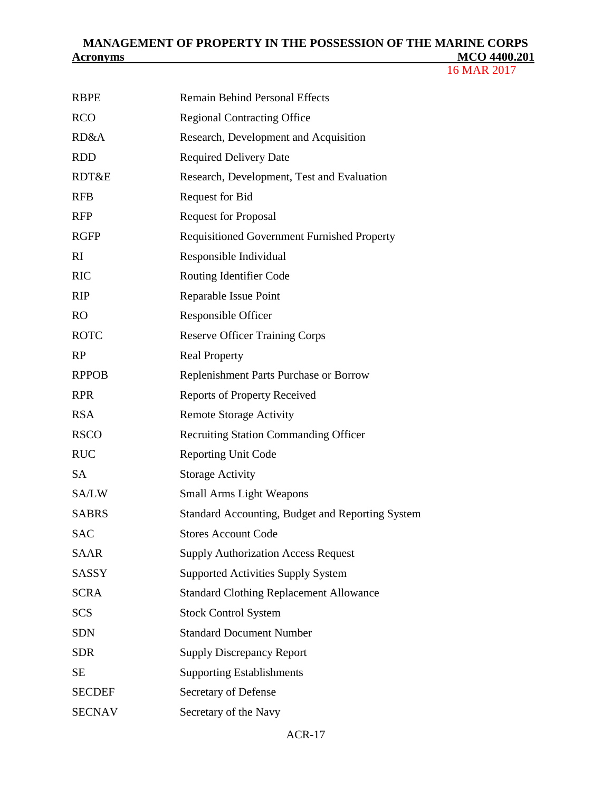| <b>RBPE</b>   | <b>Remain Behind Personal Effects</b>              |
|---------------|----------------------------------------------------|
| <b>RCO</b>    | <b>Regional Contracting Office</b>                 |
| RD&A          | Research, Development and Acquisition              |
| <b>RDD</b>    | <b>Required Delivery Date</b>                      |
| RDT&E         | Research, Development, Test and Evaluation         |
| <b>RFB</b>    | Request for Bid                                    |
| <b>RFP</b>    | <b>Request for Proposal</b>                        |
| <b>RGFP</b>   | <b>Requisitioned Government Furnished Property</b> |
| RI            | Responsible Individual                             |
| <b>RIC</b>    | Routing Identifier Code                            |
| <b>RIP</b>    | Reparable Issue Point                              |
| RO            | Responsible Officer                                |
| <b>ROTC</b>   | <b>Reserve Officer Training Corps</b>              |
| RP            | <b>Real Property</b>                               |
| <b>RPPOB</b>  | Replenishment Parts Purchase or Borrow             |
| <b>RPR</b>    | <b>Reports of Property Received</b>                |
| <b>RSA</b>    | <b>Remote Storage Activity</b>                     |
| <b>RSCO</b>   | <b>Recruiting Station Commanding Officer</b>       |
| <b>RUC</b>    | <b>Reporting Unit Code</b>                         |
| <b>SA</b>     | <b>Storage Activity</b>                            |
| SA/LW         | <b>Small Arms Light Weapons</b>                    |
| <b>SABRS</b>  | Standard Accounting, Budget and Reporting System   |
| <b>SAC</b>    | <b>Stores Account Code</b>                         |
| <b>SAAR</b>   | <b>Supply Authorization Access Request</b>         |
| <b>SASSY</b>  | <b>Supported Activities Supply System</b>          |
| <b>SCRA</b>   | <b>Standard Clothing Replacement Allowance</b>     |
| <b>SCS</b>    | <b>Stock Control System</b>                        |
| <b>SDN</b>    | <b>Standard Document Number</b>                    |
| <b>SDR</b>    | <b>Supply Discrepancy Report</b>                   |
| <b>SE</b>     | <b>Supporting Establishments</b>                   |
| <b>SECDEF</b> | Secretary of Defense                               |
| <b>SECNAV</b> | Secretary of the Navy                              |
|               |                                                    |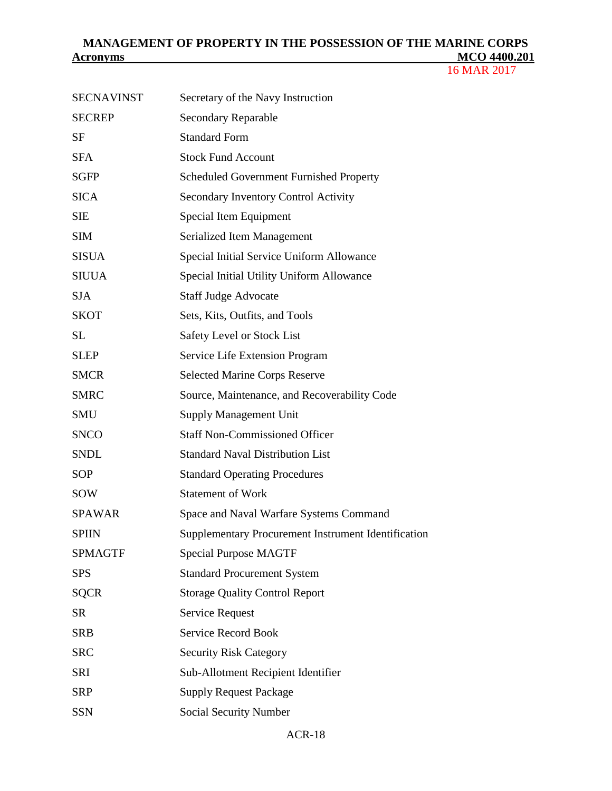| <b>SECNAVINST</b> | Secretary of the Navy Instruction                   |
|-------------------|-----------------------------------------------------|
| <b>SECREP</b>     | <b>Secondary Reparable</b>                          |
| <b>SF</b>         | <b>Standard Form</b>                                |
| <b>SFA</b>        | <b>Stock Fund Account</b>                           |
| <b>SGFP</b>       | Scheduled Government Furnished Property             |
| <b>SICA</b>       | <b>Secondary Inventory Control Activity</b>         |
| <b>SIE</b>        | Special Item Equipment                              |
| <b>SIM</b>        | Serialized Item Management                          |
| <b>SISUA</b>      | Special Initial Service Uniform Allowance           |
| <b>SIUUA</b>      | Special Initial Utility Uniform Allowance           |
| <b>SJA</b>        | <b>Staff Judge Advocate</b>                         |
| <b>SKOT</b>       | Sets, Kits, Outfits, and Tools                      |
| <b>SL</b>         | Safety Level or Stock List                          |
| <b>SLEP</b>       | Service Life Extension Program                      |
| <b>SMCR</b>       | <b>Selected Marine Corps Reserve</b>                |
| <b>SMRC</b>       | Source, Maintenance, and Recoverability Code        |
| <b>SMU</b>        | <b>Supply Management Unit</b>                       |
| <b>SNCO</b>       | <b>Staff Non-Commissioned Officer</b>               |
| <b>SNDL</b>       | <b>Standard Naval Distribution List</b>             |
| <b>SOP</b>        | <b>Standard Operating Procedures</b>                |
| SOW               | <b>Statement of Work</b>                            |
| <b>SPAWAR</b>     | Space and Naval Warfare Systems Command             |
| <b>SPIIN</b>      | Supplementary Procurement Instrument Identification |
| <b>SPMAGTF</b>    | <b>Special Purpose MAGTF</b>                        |
| <b>SPS</b>        | <b>Standard Procurement System</b>                  |
| <b>SQCR</b>       | <b>Storage Quality Control Report</b>               |
| <b>SR</b>         | Service Request                                     |
| <b>SRB</b>        | Service Record Book                                 |
| <b>SRC</b>        | <b>Security Risk Category</b>                       |
| <b>SRI</b>        | Sub-Allotment Recipient Identifier                  |
| <b>SRP</b>        | <b>Supply Request Package</b>                       |
| <b>SSN</b>        | <b>Social Security Number</b>                       |
|                   |                                                     |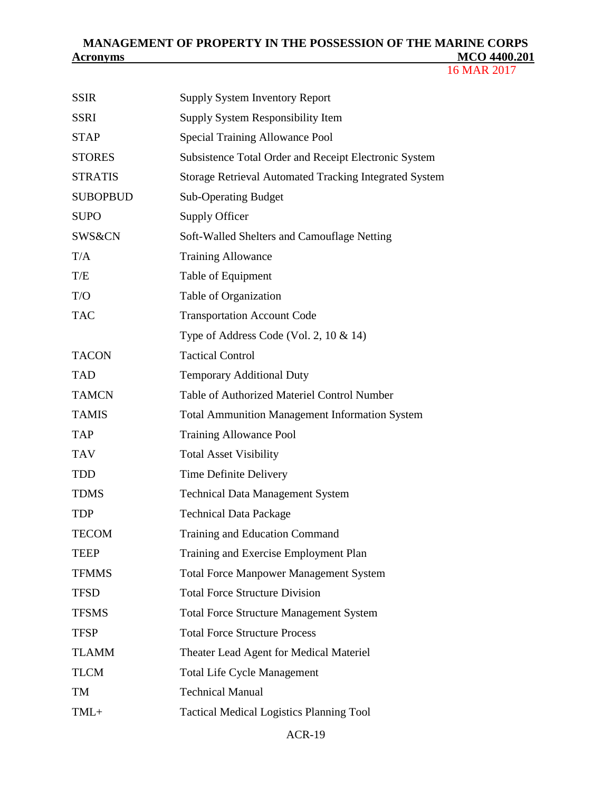16 MAR 2017

| <b>SSIR</b>     | <b>Supply System Inventory Report</b>                         |
|-----------------|---------------------------------------------------------------|
| <b>SSRI</b>     | Supply System Responsibility Item                             |
| <b>STAP</b>     | <b>Special Training Allowance Pool</b>                        |
| <b>STORES</b>   | Subsistence Total Order and Receipt Electronic System         |
| <b>STRATIS</b>  | <b>Storage Retrieval Automated Tracking Integrated System</b> |
| <b>SUBOPBUD</b> | <b>Sub-Operating Budget</b>                                   |
| <b>SUPO</b>     | Supply Officer                                                |
| SWS&CN          | Soft-Walled Shelters and Camouflage Netting                   |
| T/A             | <b>Training Allowance</b>                                     |
| T/E             | Table of Equipment                                            |
| T/O             | Table of Organization                                         |
| <b>TAC</b>      | <b>Transportation Account Code</b>                            |
|                 | Type of Address Code (Vol. 2, $10 \& 14$ )                    |
| <b>TACON</b>    | <b>Tactical Control</b>                                       |
| <b>TAD</b>      | <b>Temporary Additional Duty</b>                              |
| <b>TAMCN</b>    | Table of Authorized Materiel Control Number                   |
| <b>TAMIS</b>    | <b>Total Ammunition Management Information System</b>         |
| <b>TAP</b>      | <b>Training Allowance Pool</b>                                |
| <b>TAV</b>      | <b>Total Asset Visibility</b>                                 |
| <b>TDD</b>      | Time Definite Delivery                                        |
| <b>TDMS</b>     | <b>Technical Data Management System</b>                       |
| <b>TDP</b>      | <b>Technical Data Package</b>                                 |
| <b>TECOM</b>    | Training and Education Command                                |
| <b>TEEP</b>     | Training and Exercise Employment Plan                         |
| <b>TFMMS</b>    | <b>Total Force Manpower Management System</b>                 |
| <b>TFSD</b>     | <b>Total Force Structure Division</b>                         |
| <b>TFSMS</b>    | <b>Total Force Structure Management System</b>                |
| <b>TFSP</b>     | <b>Total Force Structure Process</b>                          |
| <b>TLAMM</b>    | Theater Lead Agent for Medical Materiel                       |
| <b>TLCM</b>     | <b>Total Life Cycle Management</b>                            |
| TM              | <b>Technical Manual</b>                                       |
| TML+            | <b>Tactical Medical Logistics Planning Tool</b>               |
|                 |                                                               |

#### ACR-19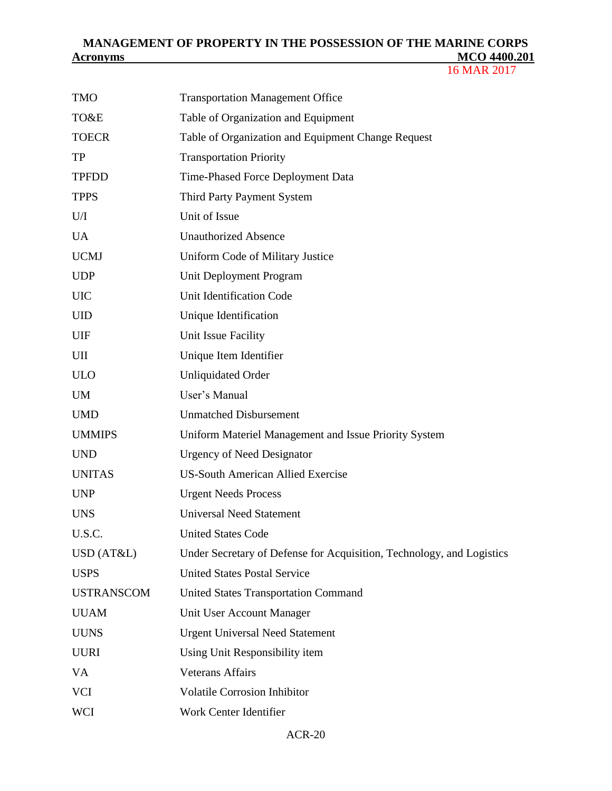| <b>TMO</b>        | <b>Transportation Management Office</b>                               |
|-------------------|-----------------------------------------------------------------------|
| TO&E              | Table of Organization and Equipment                                   |
| <b>TOECR</b>      | Table of Organization and Equipment Change Request                    |
| <b>TP</b>         | <b>Transportation Priority</b>                                        |
| <b>TPFDD</b>      | Time-Phased Force Deployment Data                                     |
| <b>TPPS</b>       | Third Party Payment System                                            |
| U/I               | Unit of Issue                                                         |
| <b>UA</b>         | <b>Unauthorized Absence</b>                                           |
| <b>UCMJ</b>       | Uniform Code of Military Justice                                      |
| <b>UDP</b>        | Unit Deployment Program                                               |
| <b>UIC</b>        | Unit Identification Code                                              |
| <b>UID</b>        | Unique Identification                                                 |
| <b>UIF</b>        | Unit Issue Facility                                                   |
| UII               | Unique Item Identifier                                                |
| <b>ULO</b>        | <b>Unliquidated Order</b>                                             |
| <b>UM</b>         | User's Manual                                                         |
| <b>UMD</b>        | <b>Unmatched Disbursement</b>                                         |
| <b>UMMIPS</b>     | Uniform Materiel Management and Issue Priority System                 |
| <b>UND</b>        | <b>Urgency of Need Designator</b>                                     |
| <b>UNITAS</b>     | <b>US-South American Allied Exercise</b>                              |
| <b>UNP</b>        | <b>Urgent Needs Process</b>                                           |
| <b>UNS</b>        | <b>Universal Need Statement</b>                                       |
| U.S.C.            | <b>United States Code</b>                                             |
| USD (AT&L)        | Under Secretary of Defense for Acquisition, Technology, and Logistics |
| <b>USPS</b>       | <b>United States Postal Service</b>                                   |
| <b>USTRANSCOM</b> | <b>United States Transportation Command</b>                           |
| <b>UUAM</b>       | Unit User Account Manager                                             |
| <b>UUNS</b>       | <b>Urgent Universal Need Statement</b>                                |
| <b>UURI</b>       | Using Unit Responsibility item                                        |
| <b>VA</b>         | <b>Veterans Affairs</b>                                               |
| <b>VCI</b>        | <b>Volatile Corrosion Inhibitor</b>                                   |
| <b>WCI</b>        | Work Center Identifier                                                |